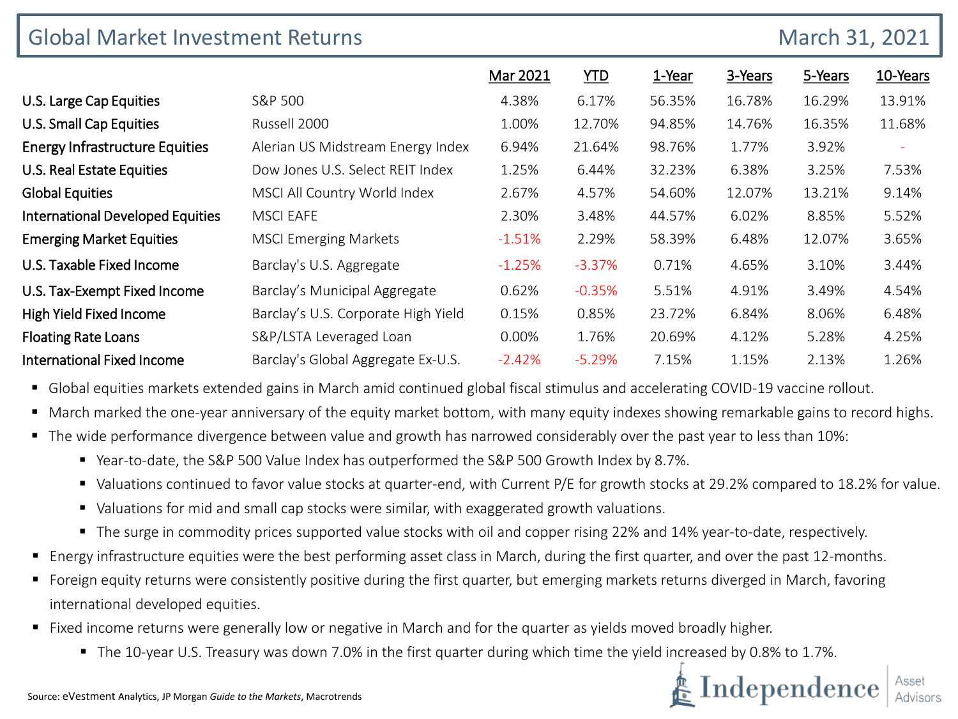| <b>Global Market Investment Returns</b> |                                     |          |            |        |         | March 31, 2021 |          |
|-----------------------------------------|-------------------------------------|----------|------------|--------|---------|----------------|----------|
|                                         |                                     | Mar 2021 | <b>YTD</b> | 1-Year | 3-Years | 5-Years        | 10-Years |
| U.S. Large Cap Equities                 | S&P 500                             | 4.38%    | 6.17%      | 56.35% | 16.78%  | 16.29%         | 13.91%   |
| U.S. Small Cap Equities                 | Russell 2000                        | 1.00%    | 12.70%     | 94.85% | 14.76%  | 16.35%         | 11.68%   |
| <b>Energy Infrastructure Equities</b>   | Alerian US Midstream Energy Index   | 6.94%    | 21.64%     | 98.76% | 1.77%   | 3.92%          | ÷        |
| U.S. Real Estate Equities               | Dow Jones U.S. Select REIT Index    | 1.25%    | 6.44%      | 32.23% | 6.38%   | 3.25%          | 7.53%    |
| <b>Global Equities</b>                  | MSCI All Country World Index        | 2.67%    | 4.57%      | 54.60% | 12.07%  | 13.21%         | 9.14%    |
| <b>International Developed Equities</b> | <b>MSCI EAFE</b>                    | 2.30%    | 3.48%      | 44.57% | 6.02%   | 8.85%          | 5.52%    |
| <b>Emerging Market Equities</b>         | <b>MSCI Emerging Markets</b>        | $-1.51%$ | 2.29%      | 58.39% | 6.48%   | 12.07%         | 3.65%    |
| U.S. Taxable Fixed Income               | Barclay's U.S. Aggregate            | $-1.25%$ | $-3.37%$   | 0.71%  | 4.65%   | 3.10%          | 3.44%    |
| U.S. Tax-Exempt Fixed Income            | Barclay's Municipal Aggregate       | 0.62%    | $-0.35%$   | 5.51%  | 4.91%   | 3.49%          | 4.54%    |
| <b>High Yield Fixed Income</b>          | Barclay's U.S. Corporate High Yield | 0.15%    | 0.85%      | 23.72% | 6.84%   | 8.06%          | 6.48%    |
| <b>Floating Rate Loans</b>              | S&P/LSTA Leveraged Loan             | 0.00%    | 1.76%      | 20.69% | 4.12%   | 5.28%          | 4.25%    |
| <b>International Fixed Income</b>       | Barclay's Global Aggregate Ex-U.S.  | $-2.42%$ | $-5.29%$   | 7.15%  | 1.15%   | 2.13%          | 1.26%    |

Global equities markets extended gains in March amid continued global fiscal stimulus and accelerating COVID-19 vaccine rollout.

- March marked the one-year anniversary of the equity market bottom, with many equity indexes showing remarkable gains to record highs.
- The wide performance divergence between value and growth has narrowed considerably over the past year to less than 10%:
	- Year-to-date, the S&P 500 Value Index has outperformed the S&P 500 Growth Index by 8.7%.
	- Valuations continued to favor value stocks at quarter-end, with Current P/E for growth stocks at 29.2% compared to 18.2% for value.
	- Valuations for mid and small cap stocks were similar, with exaggerated growth valuations.
	- The surge in commodity prices supported value stocks with oil and copper rising 22% and 14% year-to-date, respectively.
- Energy infrastructure equities were the best performing asset class in March, during the first quarter, and over the past 12-months.
- Foreign equity returns were consistently positive during the first quarter, but emerging markets returns diverged in March, favoring international developed equities.
- Fixed income returns were generally low or negative in March and for the quarter as yields moved broadly higher.
	- The 10-year U.S. Treasury was down 7.0% in the first quarter during which time the yield increased by 0.8% to 1.7%.

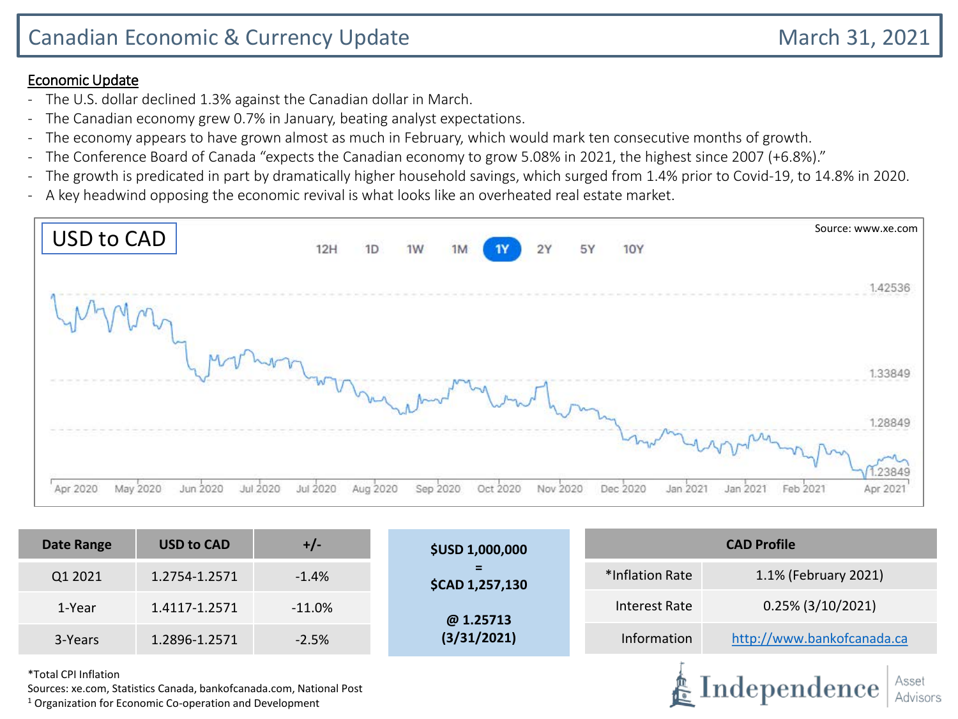#### Economic Update

- The U.S. dollar declined 1.3% against the Canadian dollar in March.
- The Canadian economy grew 0.7% in January, beating analyst expectations.
- The economy appears to have grown almost as much in February, which would mark ten consecutive months of growth.
- The Conference Board of Canada "expects the Canadian economy to grow 5.08% in 2021, the highest since 2007 (+6.8%)."
- The growth is predicated in part by dramatically higher household savings, which surged from 1.4% prior to Covid-19, to 14.8% in 2020.
- A key headwind opposing the economic revival is what looks like an overheated real estate market.

| USD to CAD                                   | 12H      | 1D       | 1W   | 1M   | <b>1Y</b> | 2Y       | 5Y | <b>10Y</b>              | Source: www.xe.com               |
|----------------------------------------------|----------|----------|------|------|-----------|----------|----|-------------------------|----------------------------------|
|                                              |          |          |      |      |           |          |    |                         | 1.42536                          |
|                                              |          |          |      |      |           |          |    |                         |                                  |
|                                              |          |          |      |      |           |          |    |                         |                                  |
|                                              |          |          |      |      |           |          |    |                         | .28849                           |
| Apr 2020<br>May 2020<br>Jun 2020<br>Jul 2020 | Jul 2020 | Aug 2020 | Sep: | 2020 | Oct 2020  | Nov 2020 |    | Jan 2021<br>Dec<br>2020 | Feb 2021<br>Jan 2021<br>Apr 2021 |

| <b>Date Range</b>    | <b>USD to CAD</b>                                                                                                                 | $+/-$     | <b>\$USD 1,000,000</b> | <b>CAD Profile</b> |                                               |  |  |  |
|----------------------|-----------------------------------------------------------------------------------------------------------------------------------|-----------|------------------------|--------------------|-----------------------------------------------|--|--|--|
| Q1 2021              | 1.2754-1.2571                                                                                                                     | $-1.4%$   | \$CAD 1,257,130        | *Inflation Rate    | 1.1% (February 2021)                          |  |  |  |
| 1-Year               | 1.4117-1.2571                                                                                                                     | $-11.0\%$ | @1.25713               | Interest Rate      | $0.25\%$ (3/10/2021)                          |  |  |  |
| 3-Years              | 1.2896-1.2571                                                                                                                     | $-2.5%$   | (3/31/2021)            | Information        | http://www.bankofcanada.ca                    |  |  |  |
| *Total CPI Inflation | Sources: xe.com, Statistics Canada, bankofcanada.com, National Post<br>$1$ Organization for Economic Co-operation and Development |           |                        |                    | Asset<br>$\clubsuit$ Independence<br>Advisors |  |  |  |

 $1$  Organization for Economic Co-operation and Development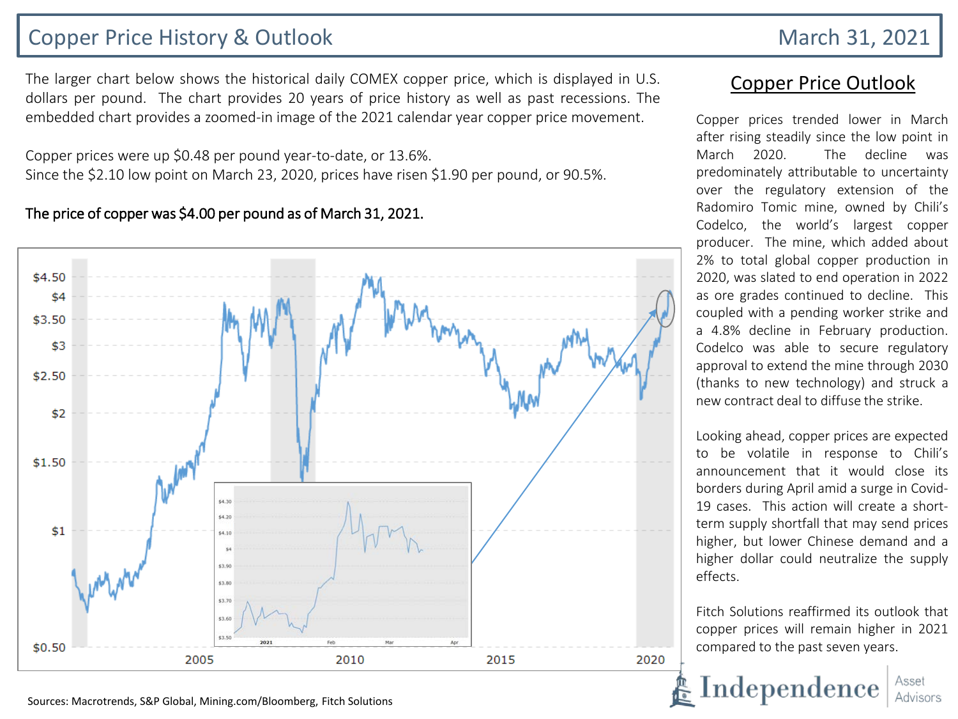## Copper Price History & Outlook March 31, 2021

The larger chart below shows the historical daily COMEX copper price, which is displayed in U.S. dollars per pound. The chart provides 20 years of price history as well as past recessions. The embedded chart provides a zoomed-in image of the 2021 calendar year copper price movement.

Copper prices were up \$0.48 per pound year-to-date, or 13.6%. Since the \$2.10 low point on March 23, 2020, prices have risen \$1.90 per pound, or 90.5%.

#### The price of copper was \$4.00 per pound as of March 31, 2021.



### Copper Price Outlook

Copper prices trended lower in March after rising steadily since the low point in March 2020. The decline was predominately attributable to uncertainty over the regulatory extension of the Radomiro Tomic mine, owned by Chili's Codelco, the world's largest copper producer. The mine, which added about 2% to total global copper production in 2020, was slated to end operation in 2022 as ore grades continued to decline. This coupled with a pending worker strike and a 4.8% decline in February production. Codelco was able to secure regulatory approval to extend the mine through 2030 (thanks to new technology) and struck a new contract deal to diffuse the strike.

Looking ahead, copper prices are expected to be volatile in response to Chili's announcement that it would close its borders during April amid a surge in Covid-19 cases. This action will create a shortterm supply shortfall that may send prices higher, but lower Chinese demand and a higher dollar could neutralize the supply effects.

Fitch Solutions reaffirmed its outlook that copper prices will remain higher in 2021 compared to the past seven years.



Sources: Macrotrends, S&P Global, Mining.com/Bloomberg, Fitch Solutions